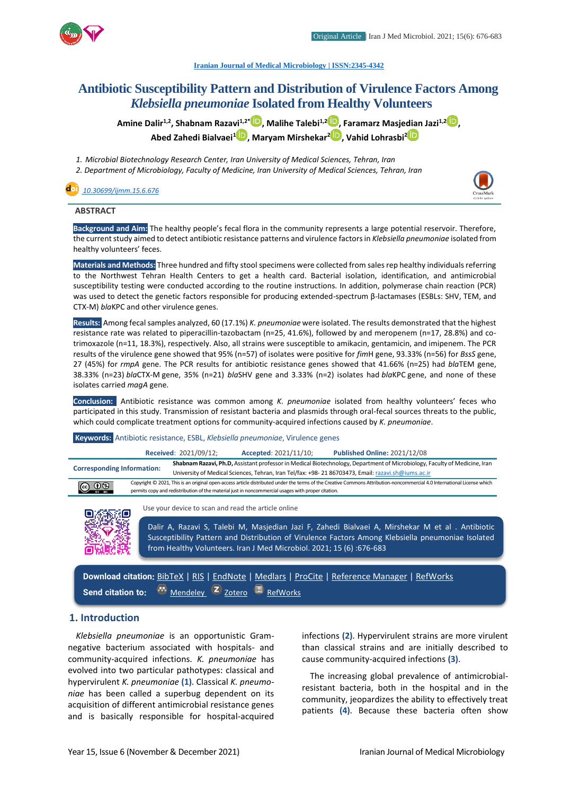

**[Iranian Journal of Medical Microbiology |](https://ijmm.ir/) ISSN:2345-4342**

# **Antibiotic Susceptibility Pattern and Distribution of Virulence Factors Among**  *Klebsiella pneumoniae* **Isolated from Healthy Volunteers**

**Amine Dalir1,2, Shabnam Razavi1,2[\\*](http://orcid.org/0000-0003-4566-3089) , Malihe Talebi1,[2](http://orcid.org/0000-0003-3040-7541) , Faramarz Masjedian Jazi1,2 [,](http://orcid.org/0000-0002-0242-6000) Abed Zahedi Bialvaei[1](http://orcid.org/0000-0003-3564-9566) , Maryam Mirshekar [2](http://orcid.org/0000-0003-1741-937X) , Vahid Lohrasbi<sup>2</sup>**

*1. Microbial Biotechnology Research Center, Iran University of Medical Sciences, Tehran, Iran*

*2. Department of Microbiology, Faculty of Medicine, Iran University of Medical Sciences, Tehran, Iran*

# *[10.30699/ijmm.15.6.676](http://dx.doi.org/10.30699/ijmm.15.6.676)*



# **ABSTRACT**

**Background and Aim:** The healthy people's fecal flora in the community represents a large potential reservoir. Therefore, the current study aimed to detect antibiotic resistance patterns and virulence factors in *Klebsiella pneumoniae* isolated from healthy volunteers' feces.

**Materials and Methods:** Three hundred and fifty stool specimens were collected from sales rep healthy individuals referring to the Northwest Tehran Health Centers to get a health card. Bacterial isolation, identification, and antimicrobial susceptibility testing were conducted according to the routine instructions. In addition, polymerase chain reaction (PCR) was used to detect the genetic factors responsible for producing extended-spectrum β-lactamases (ESBLs: SHV, TEM, and CTX-M) *bla*KPC and other virulence genes.

**Results:** Among fecal samples analyzed, 60 (17.1%) *K. pneumoniae* were isolated. The results demonstrated that the highest resistance rate was related to piperacillin-tazobactam (n=25, 41.6%), followed by and meropenem (n=17, 28.8%) and cotrimoxazole (n=11, 18.3%), respectively. Also, all strains were susceptible to amikacin, gentamicin, and imipenem. The PCR results of the virulence gene showed that 95% (n=57) of isolates were positive for *fim*H gene, 93.33% (n=56) for *BssS* gene, 27 (45%) for *rmpA* gene. The PCR results for antibiotic resistance genes showed that 41.66% (n=25) had *bla*TEM gene, 38.33% (n=23) *bla*CTX-M gene, 35% (n=21) *bla*SHV gene and 3.33% (n=2) isolates had *bla*KPC gene, and none of these isolates carried *magA* gene.

**Conclusion:** Antibiotic resistance was common among *K. pneumoniae* isolated from healthy volunteers' feces who participated in this study. Transmission of resistant bacteria and plasmids through oral-fecal sources threats to the public, which could complicate treatment options for community-acquired infections caused by *K. pneumoniae*.

**Keywords:** Antibiotic resistance, ESBL, *Klebsiella pneumoniae*, Virulence genes

| Received: 2021/09/12;                                                                                                                                                        |                                                                                                                                                                         |                                                                                                                           | Accepted: 2021/11/10; | <b>Published Online: 2021/12/08</b> |  |  |  |
|------------------------------------------------------------------------------------------------------------------------------------------------------------------------------|-------------------------------------------------------------------------------------------------------------------------------------------------------------------------|---------------------------------------------------------------------------------------------------------------------------|-----------------------|-------------------------------------|--|--|--|
| <b>Corresponding Information:</b>                                                                                                                                            |                                                                                                                                                                         | Shabnam Razavi, Ph.D, Assistant professor in Medical Biotechnology, Department of Microbiology, Faculty of Medicine, Iran |                       |                                     |  |  |  |
|                                                                                                                                                                              |                                                                                                                                                                         | University of Medical Sciences, Tehran, Iran Tel/fax: +98-21 86703473, Email: razavi.sh@iums.ac.ir                        |                       |                                     |  |  |  |
| $\circledcirc$ $\circledcirc$                                                                                                                                                | Copyright © 2021, This is an original open-access article distributed under the terms of the Creative Commons Attribution-noncommercial 4.0 International License which |                                                                                                                           |                       |                                     |  |  |  |
|                                                                                                                                                                              | permits copy and redistribution of the material just in noncommercial usages with proper citation.                                                                      |                                                                                                                           |                       |                                     |  |  |  |
| Use your device to scan and read the article online<br><b>Communication of the Act of Act of Act of Act of Act of Act of Act of Act of Act of Act of Act of Act of Act o</b> |                                                                                                                                                                         |                                                                                                                           |                       |                                     |  |  |  |



Dalir A, Razavi S, Talebi M, Masjedian Jazi F, Zahedi Bialvaei A, Mirshekar M et al . Antibiotic

Susceptibility Pattern and Distribution of Virulence Factors Among Klebsiella pneumoniae Isolated from Healthy Volunteers. Iran J Med Microbiol. 2021; 15 (6) :676-683

**Download citation:** [BibTeX](https://ijmm.ir/web2export.php?a_code=A-10-1602-2&sid=1&slc_lang=en&type=BibTeX) | [RIS](https://ijmm.ir/web2export.php?a_code=A-10-1602-2&sid=1&slc_lang=en&type=ris) | [EndNote](https://ijmm.ir/web2export.php?a_code=A-10-1602-2&sid=1&slc_lang=en&type=EndNote) | [Medlars](https://ijmm.ir/web2export.php?a_code=A-10-1602-2&sid=1&slc_lang=en&type=Medlars) | [ProCite](https://ijmm.ir/web2export.php?a_code=A-10-1602-2&sid=1&slc_lang=en&type=ProCite) | [Reference Manager](https://ijmm.ir/web2export.php?a_code=A-10-1602-2&sid=1&slc_lang=en&type=Reference_Manager) | [RefWorks](https://ijmm.ir/web2export.php?a_code=A-10-1602-2&sid=1&slc_lang=en&type=RefWorks) Send citation to: **[Mendeley](http://www.mendeley.com/import/?url=https://ijmm.ir/article-1-1482-en.html) Z** [Zotero](https://ijmm.ir/web2export.php?a_code=A-10-1602-2&sid=1&slc_lang=en&type=ris) **B** [RefWorks](http://www.refworks.com/express/ExpressImport.asp?vendor=Iran-J-Med-Microbiol&filter=RefWorks%20Tagged%20Format&encoding=65001&url=http%3A%2F%2Fijmm.ir%2Farticle-1-1482-en.html)

# **1. Introduction**

*Klebsiella pneumoniae* is an opportunistic Gramnegative bacterium associated with hospitals- and community-acquired infections*. K. pneumoniae* has evolved into two particular pathotypes: classical and hypervirulent *K. pneumoniae* **(1)**. Classical *K. pneumoniae* has been called a superbug dependent on its acquisition of different antimicrobial resistance genes and is basically responsible for hospital-acquired

infections **(2)**. Hypervirulent strains are more virulent than classical strains and are initially described to cause community-acquired infections **(3)**.

The increasing global prevalence of antimicrobialresistant bacteria, both in the hospital and in the community, jeopardizes the ability to effectively treat patients **(4)**. Because these bacteria often show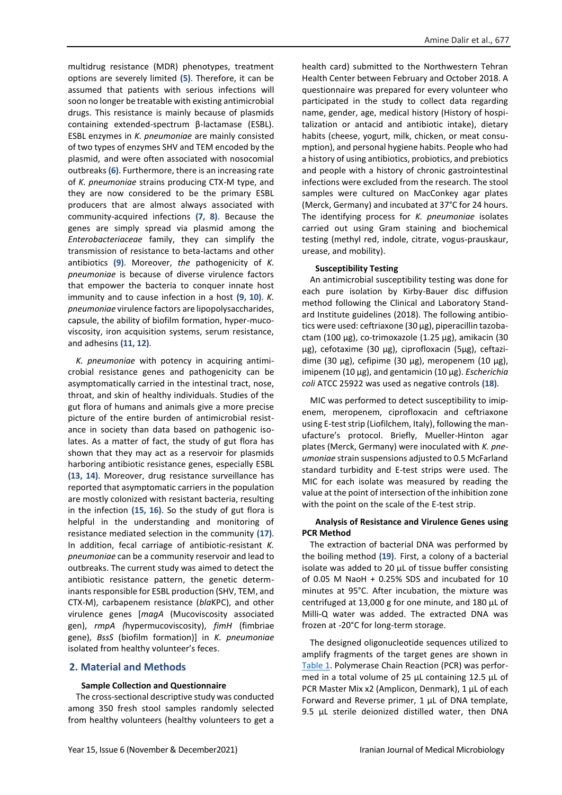multidrug resistance (MDR) phenotypes, treatment options are severely limited **(5)**. Therefore, it can be assumed that patients with serious infections will soon no longer be treatable with existing antimicrobial drugs. This resistance is mainly because of plasmids containing extended-spectrum β-lactamase (ESBL). ESBL enzymes in *K. pneumoniae* are mainly consisted of two types of enzymes SHV and TEM encoded by the plasmid, and were often associated with nosocomial outbreaks **(6)**. Furthermore, there is an increasing rate of *K. pneumoniae* strains producing CTX-M type, and they are now considered to be the primary ESBL producers that are almost always associated with community-acquired infections **(7, 8)**. Because the genes are simply spread via plasmid among the *Enterobacteriaceae* family, they can simplify the transmission of resistance to beta-lactams and other antibiotics **(9)**. Moreover, *the* pathogenicity of *K. pneumoniae* is because of diverse virulence factors that empower the bacteria to conquer innate host immunity and to cause infection in a host **(9, 10)**. *K. pneumoniae* virulence factors are lipopolysaccharides, capsule, the ability of biofilm formation, hyper-mucoviscosity, iron acquisition systems, serum resistance, and adhesins **(11, 12)**.

*K. pneumoniae* with potency in acquiring antimicrobial resistance genes and pathogenicity can be asymptomatically carried in the intestinal tract, nose, throat, and skin of healthy individuals. Studies of the gut flora of humans and animals give a more precise picture of the entire burden of antimicrobial resistance in society than data based on pathogenic isolates. As a matter of fact, the study of gut flora has shown that they may act as a reservoir for plasmids harboring antibiotic resistance genes, especially ESBL **(13, 14)**. Moreover, drug resistance surveillance has reported that asymptomatic carriers in the population are mostly colonized with resistant bacteria, resulting in the infection **(15, 16)**. So the study of gut flora is helpful in the understanding and monitoring of resistance mediated selection in the community **(17)**. In addition, fecal carriage of antibiotic-resistant *K. pneumoniae* can be a community reservoir and lead to outbreaks. The current study was aimed to detect the antibiotic resistance pattern, the genetic determinants responsible for ESBL production (SHV, TEM, and CTX-M), carbapenem resistance (*bla*KPC), and other virulence genes [*magA* (Mucoviscosity associated gen), *rmpA (*hypermucoviscosity), *fimH* (fimbriae gene), *BssS* (biofilm formation)] in *K. pneumoniae*  isolated from healthy volunteer's feces.

## **2. Material and Methods**

#### **Sample Collection and Questionnaire**

The cross-sectional descriptive study was conducted among 350 fresh stool samples randomly selected from healthy volunteers (healthy volunteers to get a health card) submitted to the Northwestern Tehran Health Center between February and October 2018. A questionnaire was prepared for every volunteer who participated in the study to collect data regarding name, gender, age, medical history (History of hospitalization or antacid and antibiotic intake), dietary habits (cheese, yogurt, milk, chicken, or meat consumption), and personal hygiene habits. People who had a history of using antibiotics, probiotics, and prebiotics and people with a history of chronic gastrointestinal infections were excluded from the research. The stool samples were cultured on MacConkey agar plates (Merck, Germany) and incubated at 37°C for 24 hours. The identifying process for *K. pneumoniae* isolates carried out using Gram staining and biochemical testing (methyl red, indole, citrate, vogus-prauskaur, urease, and mobility).

### **Susceptibility Testing**

An antimicrobial susceptibility testing was done for each pure isolation by Kirby-Bauer disc diffusion method following the Clinical and Laboratory Standard Institute guidelines (2018). The following antibiotics were used: ceftriaxone (30 μg), piperacillin tazobactam (100 μg), co-trimoxazole (1.25 μg), amikacin (30 μg), cefotaxime (30 μg), ciprofloxacin (5μg), ceftazidime (30 μg), cefipime (30 μg), meropenem (10 μg), imipenem (10 μg), and gentamicin (10 μg). *Escherichia coli* ATCC 25922 was used as negative controls **(18)**.

MIC was performed to detect susceptibility to imipenem, meropenem, ciprofloxacin and ceftriaxone using E-test strip (Liofilchem, Italy), following the manufacture's protocol. Briefly, Mueller-Hinton agar plates (Merck, Germany) were inoculated with *K. pneumoniae* strain suspensions adjusted to 0.5 McFarland standard turbidity and E-test strips were used. The MIC for each isolate was measured by reading the value at the point of intersection of the inhibition zone with the point on the scale of the E-test strip.

### **Analysis of Resistance and Virulence Genes using PCR Method**

The extraction of bacterial DNA was performed by the boiling method **(19)**. First, a colony of a bacterial isolate was added to 20 μL of tissue buffer consisting of 0.05 M NaoH + 0.25% SDS and incubated for 10 minutes at 95°C. After incubation, the mixture was centrifuged at 13,000 g for one minute, and 180 μL of Milli-Q water was added. The extracted DNA was frozen at -20°C for long-term storage.

The designed oligonucleotide sequences utilized to amplify fragments of the target genes are shown in [Table 1.](#page-2-0) Polymerase Chain Reaction (PCR) was performed in a total volume of 25 μL containing 12.5 µL of PCR Master Mix x2 (Amplicon, Denmark), 1 µL of each Forward and Reverse primer, 1 µL of DNA template, 9.5 µL sterile deionized distilled water, then DNA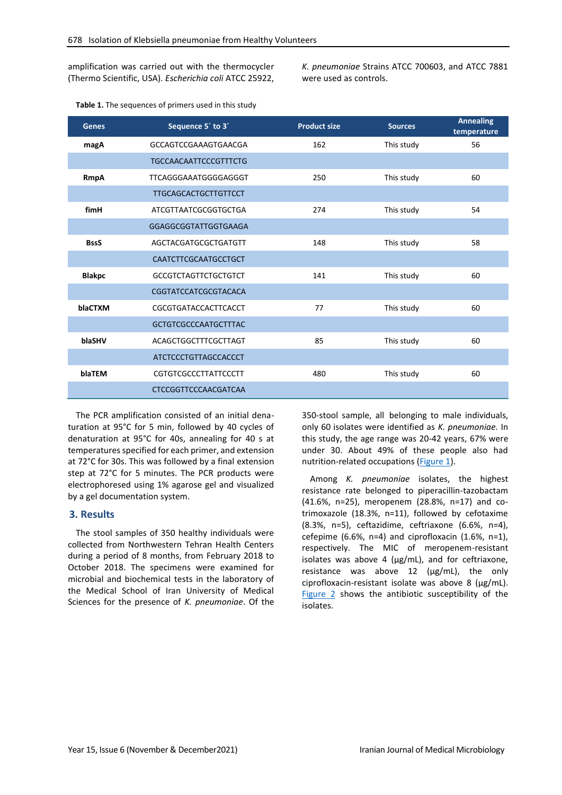amplification was carried out with the thermocycler (Thermo Scientific, USA). *Escherichia coli* ATCC 25922, *K. pneumoniae* Strains ATCC 700603, and ATCC 7881 were used as controls.

| <b>Genes</b>  | Sequence 5' to 3'            | <b>Product size</b> | <b>Sources</b> | <b>Annealing</b><br>temperature |
|---------------|------------------------------|---------------------|----------------|---------------------------------|
| magA          | GCCAGTCCGAAAGTGAACGA         | 162                 | This study     | 56                              |
|               | <b>TGCCAACAATTCCCGTTTCTG</b> |                     |                |                                 |
| <b>RmpA</b>   | TTCAGGGAAATGGGGAGGGT         | 250                 | This study     | 60                              |
|               | <b>TTGCAGCACTGCTTGTTCCT</b>  |                     |                |                                 |
| fimH          | ATCGTTAATCGCGGTGCTGA         | 274                 | This study     | 54                              |
|               | GGAGGCGGTATTGGTGAAGA         |                     |                |                                 |
| <b>BssS</b>   | AGCTACGATGCGCTGATGTT         | 148                 | This study     | 58                              |
|               | CAATCTTCGCAATGCCTGCT         |                     |                |                                 |
| <b>Blakpc</b> | <b>GCCGTCTAGTTCTGCTGTCT</b>  | 141                 | This study     | 60                              |
|               | CGGTATCCATCGCGTACACA         |                     |                |                                 |
| blaCTXM       | CGCGTGATACCACTTCACCT         | 77                  | This study     | 60                              |
|               | <b>GCTGTCGCCCAATGCTTTAC</b>  |                     |                |                                 |
| blaSHV        | ACAGCTGGCTTTCGCTTAGT         | 85                  | This study     | 60                              |
|               | ATCTCCCTGTTAGCCACCCT         |                     |                |                                 |
| blaTEM        | CGTGTCGCCCTTATTCCCTT         | 480                 | This study     | 60                              |
|               | CTCCGGTTCCCAACGATCAA         |                     |                |                                 |

<span id="page-2-0"></span>**Table 1.** The sequences of primers used in this study

The PCR amplification consisted of an initial denaturation at 95°C for 5 min, followed by 40 cycles of denaturation at 95°C for 40s, annealing for 40 s at temperatures specified for each primer, and extension at 72°C for 30s. This was followed by a final extension step at 72°C for 5 minutes. The PCR products were electrophoresed using 1% agarose gel and visualized by a gel documentation system.

# **3. Results**

The stool samples of 350 healthy individuals were collected from Northwestern Tehran Health Centers during a period of 8 months, from February 2018 to October 2018. The specimens were examined for microbial and biochemical tests in the laboratory of the Medical School of Iran University of Medical Sciences for the presence of *K. pneumoniae*. Of the 350-stool sample, all belonging to male individuals, only 60 isolates were identified as *K. pneumoniae.* In this study, the age range was 20-42 years, 67% were under 30. About 49% of these people also had nutrition-related occupations [\(Figure 1\)](#page-3-0).

Among *K. pneumoniae* isolates, the highest resistance rate belonged to piperacillin-tazobactam (41.6%, n=25), meropenem (28.8%, n=17) and cotrimoxazole (18.3%, n=11), followed by cefotaxime (8.3%, n=5), ceftazidime, ceftriaxone (6.6%, n=4), cefepime (6.6%, n=4) and ciprofloxacin (1.6%, n=1), respectively. The MIC of meropenem-resistant isolates was above 4 (μg/mL), and for ceftriaxone, resistance was above 12 (μg/mL), the only ciprofloxacin-resistant isolate was above 8 (μg/mL). [Figure 2](#page-3-1) shows the antibiotic susceptibility of the isolates.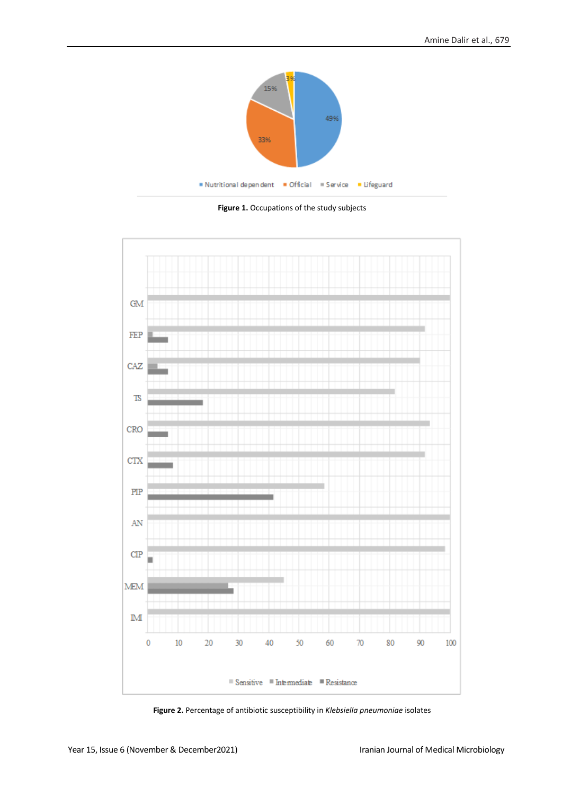

**Figure 1.** Occupations of the study subjects

<span id="page-3-0"></span>

<span id="page-3-1"></span>**Figure 2.** Percentage of antibiotic susceptibility in *Klebsiella pneumoniae* isolates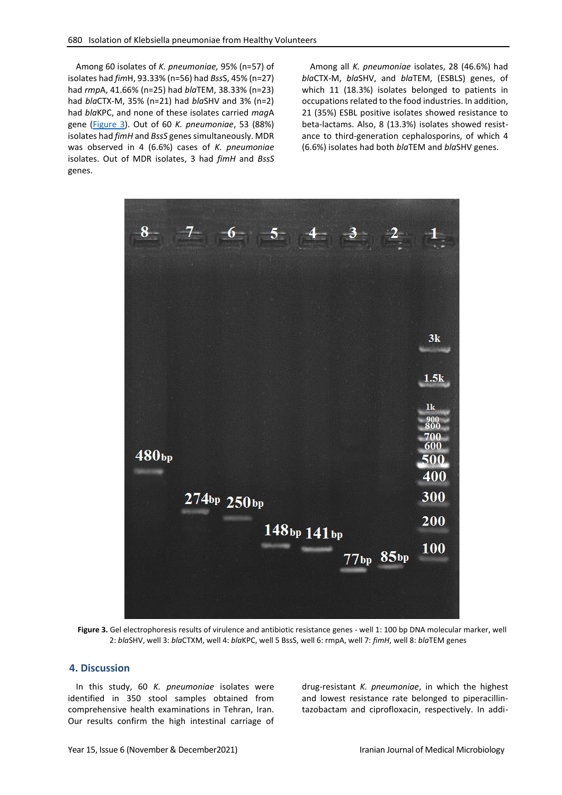Among 60 isolates of *K. pneumoniae,* 95% (n=57) of isolates had *fim*H, 93.33% (n=56) had *Bss*S, 45% (n=27) had *rmp*A, 41.66% (n=25) had *bla*TEM, 38.33% (n=23) had *bla*CTX-M, 35% (n=21) had *bla*SHV and 3% (n=2) had *bla*KPC, and none of these isolates carried *mag*A gene [\(Figure 3\)](#page-4-0). Out of 60 *K. pneumoniae*, 53 (88%) isolates had *fimH* and *BssS* genes simultaneously. MDR was observed in 4 (6.6%) cases of *K. pneumoniae*  isolates. Out of MDR isolates, 3 had *fimH* and *BssS* genes.

Among all *K. pneumoniae* isolates, 28 (46.6%) had *bla*CTX-M, *bla*SHV, and *bla*TEM, (ESBLS) genes, of which 11 (18.3%) isolates belonged to patients in occupations related to the food industries. In addition, 21 (35%) ESBL positive isolates showed resistance to beta-lactams. Also, 8 (13.3%) isolates showed resistance to third-generation cephalosporins, of which 4 (6.6%) isolates had both *bla*TEM and *bla*SHV genes.



<span id="page-4-0"></span>**Figure 3.** Gel electrophoresis results of virulence and antibiotic resistance genes - well 1: 100 bp DNA molecular marker, well 2: *bla*SHV, well 3: *bla*CTXM, well 4: *bla*KPC, well 5 BssS, well 6: rmpA, well 7: *fimH*, well 8: *bla*TEM genes

# **4. Discussion**

In this study, 60 *K. pneumoniae* isolates were identified in 350 stool samples obtained from comprehensive health examinations in Tehran, Iran. Our results confirm the high intestinal carriage of drug-resistant *K. pneumoniae*, in which the highest and lowest resistance rate belonged to piperacillintazobactam and ciprofloxacin, respectively. In addi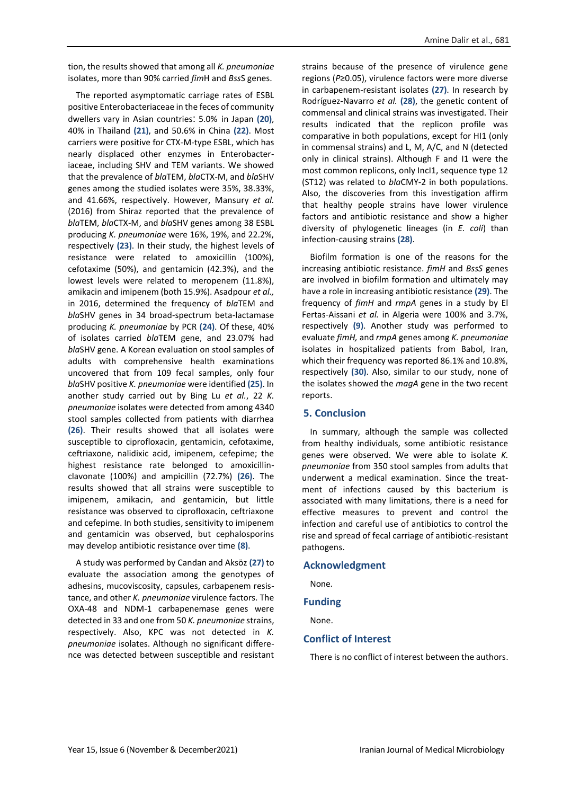tion, the results showed that among all *K. pneumoniae* isolates, more than 90% carried *fim*H and *Bss*S genes.

The reported asymptomatic carriage rates of ESBL positive Enterobacteriaceae in the feces of community dwellers vary in Asian countries: 5.0% in Japan **(20)**, 40% in Thailand **(21)**, and 50.6% in China **(22)**. Most carriers were positive for CTX-M-type ESBL, which has nearly displaced other enzymes in Enterobacteriaceae, including SHV and TEM variants. We showed that the prevalence of *bla*TEM, *bla*CTX-M, and *bla*SHV genes among the studied isolates were 35%, 38.33%, and 41.66%, respectively. However, Mansury *et al.* (2016) from Shiraz reported that the prevalence of *bla*TEM, *bla*CTX-M, and *bla*SHV genes among 38 ESBL producing *K. pneumoniae* were 16%, 19%, and 22.2%, respectively **(23)**. In their study, the highest levels of resistance were related to amoxicillin (100%), cefotaxime (50%), and gentamicin (42.3%), and the lowest levels were related to meropenem (11.8%), amikacin and imipenem (both 15.9%). Asadpour *et al.,* in 2016, determined the frequency of *bla*TEM and *bla*SHV genes in 34 broad-spectrum beta-lactamase producing *K. pneumoniae* by PCR **(24)**. Of these, 40% of isolates carried *bla*TEM gene, and 23.07% had *bla*SHV gene. A Korean evaluation on stool samples of adults with comprehensive health examinations uncovered that from 109 fecal samples, only four *bla*SHV positive *K. pneumoniae* were identified **(25)**. In another study carried out by Bing Lu *et al.*, 22 *K. pneumoniae* isolates were detected from among 4340 stool samples collected from patients with diarrhea **(26)**. Their results showed that all isolates were susceptible to ciprofloxacin, gentamicin, cefotaxime, ceftriaxone, nalidixic acid, imipenem, cefepime; the highest resistance rate belonged to amoxicillinclavonate (100%) and ampicillin (72.7%) **(26)**. The results showed that all strains were susceptible to imipenem, amikacin, and gentamicin, but little resistance was observed to ciprofloxacin, ceftriaxone and cefepime. In both studies, sensitivity to imipenem and gentamicin was observed, but cephalosporins may develop antibiotic resistance over time **(8)**.

A study was performed by Candan and Aksöz **(27)** to evaluate the association among the genotypes of adhesins, mucoviscosity, capsules, carbapenem resistance, and other *K. pneumoniae* virulence factors. The OXA-48 and NDM-1 carbapenemase genes were detected in 33 and one from 50 *K. pneumoniae* strains, respectively. Also, KPC was not detected in *K. pneumoniae* isolates. Although no significant difference was detected between susceptible and resistant strains because of the presence of virulence gene regions (*P*≥0.05), virulence factors were more diverse in carbapenem-resistant isolates **(27)**. In research by Rodríguez-Navarro *et al.* **(28)**, the genetic content of commensal and clinical strains was investigated. Their results indicated that the replicon profile was comparative in both populations, except for HI1 (only in commensal strains) and L, M, A/C, and N (detected only in clinical strains). Although F and I1 were the most common replicons, only IncI1, sequence type 12 (ST12) was related to *bla*CMY-2 in both populations. Also, the discoveries from this investigation affirm that healthy people strains have lower virulence factors and antibiotic resistance and show a higher diversity of phylogenetic lineages (in *E. coli*) than infection-causing strains **(28)**.

Biofilm formation is one of the reasons for the increasing antibiotic resistance. *fimH* and *BssS* genes are involved in biofilm formation and ultimately may have a role in increasing antibiotic resistance **(29)**. The frequency of *fimH* and *rmpA* genes in a study by El Fertas-Aissani *et al.* in Algeria were 100% and 3.7%, respectively **(9)**. Another study was performed to evaluate *fimH,* and *rmpA* genes among *K. pneumoniae* isolates in hospitalized patients from Babol, Iran, which their frequency was reported 86.1% and 10.8%, respectively **(30)**. Also, similar to our study, none of the isolates showed the *magA* gene in the two recent reports.

## **5. Conclusion**

In summary, although the sample was collected from healthy individuals, some antibiotic resistance genes were observed. We were able to isolate *K. pneumoniae* from 350 stool samples from adults that underwent a medical examination. Since the treatment of infections caused by this bacterium is associated with many limitations, there is a need for effective measures to prevent and control the infection and careful use of antibiotics to control the rise and spread of fecal carriage of antibiotic-resistant pathogens.

### **Acknowledgment**

None.

## **Funding**

None.

### **Conflict of Interest**

There is no conflict of interest between the authors.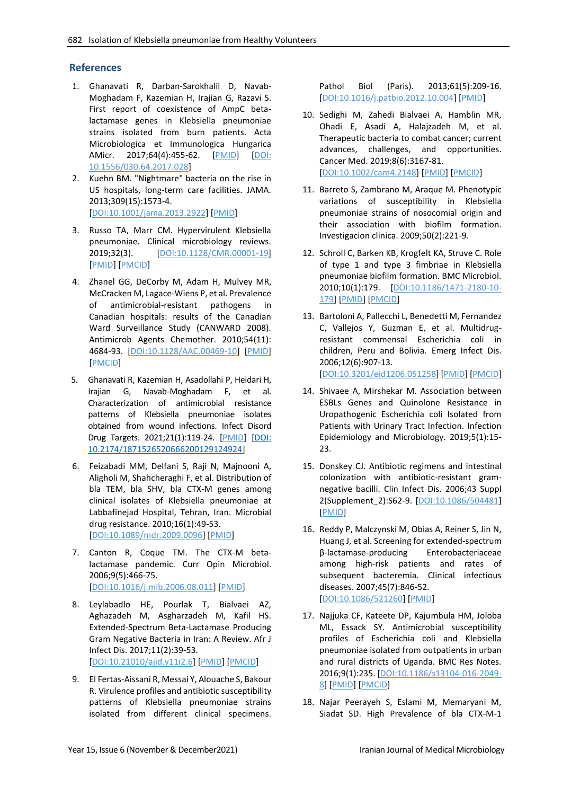# **References**

- 1. Ghanavati R, Darban-Sarokhalil D, Navab-Moghadam F, Kazemian H, Irajian G, Razavi S. First report of coexistence of AmpC betalactamase genes in Klebsiella pneumoniae strains isolated from burn patients. Acta Microbiologica et Immunologica Hungarica AMicr. 2017;64(4):455-62. [\[PMID\]](https://pubmed.ncbi.nlm.nih.gov/28859497/) [\[DOI:](https://doi.org/10.1556/030.64.2017.028) [10.1556/030.64.2017.028\]](https://doi.org/10.1556/030.64.2017.028)
- 2. Kuehn BM. "Nightmare" bacteria on the rise in US hospitals, long-term care facilities. JAMA. 2013;309(15):1573-4. [\[DOI:10.1001/jama.2013.2922\]](https://doi.org/10.1001/jama.2013.2922) [\[PMID\]](https://www.ncbi.nlm.nih.gov/pubmed/23592085)
- 3. Russo TA, Marr CM. Hypervirulent Klebsiella pneumoniae. Clinical microbiology reviews. 2019;32(3). [\[DOI:10.1128/CMR.00001-19\]](https://doi.org/10.1128/CMR.00001-19) [\[PMID\]](https://www.ncbi.nlm.nih.gov/pubmed/31092506) [\[PMCID\]](http://www.ncbi.nlm.nih.gov/pmc/articles/PMC6589860)
- 4. Zhanel GG, DeCorby M, Adam H, Mulvey MR, McCracken M, Lagace-Wiens P, et al. Prevalence of antimicrobial-resistant pathogens in Canadian hospitals: results of the Canadian Ward Surveillance Study (CANWARD 2008). Antimicrob Agents Chemother. 2010;54(11): 4684-93. [\[DOI:10.1128/AAC.00469-10\]](https://doi.org/10.1128/AAC.00469-10) [\[PMID\]](https://www.ncbi.nlm.nih.gov/pubmed/20805395) [\[PMCID\]](http://www.ncbi.nlm.nih.gov/pmc/articles/PMC2976152)
- 5. Ghanavati R, Kazemian H, Asadollahi P, Heidari H, Irajian G, Navab-Moghadam F, et al. Characterization of antimicrobial resistance patterns of Klebsiella pneumoniae isolates obtained from wound infections. Infect Disord Drug Targets. 2021;21(1):119-24. [\[PMID\]](https://pubmed.ncbi.nlm.nih.gov/31995023/) [\[DOI:](https://doi.org/10.2174/1871526520666200129124924) [10.2174/1871526520666200129124924\]](https://doi.org/10.2174/1871526520666200129124924)
- 6. Feizabadi MM, Delfani S, Raji N, Majnooni A, Aligholi M, Shahcheraghi F, et al. Distribution of bla TEM, bla SHV, bla CTX-M genes among clinical isolates of Klebsiella pneumoniae at Labbafinejad Hospital, Tehran, Iran. Microbial drug resistance. 2010;16(1):49-53. [\[DOI:10.1089/mdr.2009.0096\]](https://doi.org/10.1089/mdr.2009.0096) [\[PMID\]](https://www.ncbi.nlm.nih.gov/pubmed/19961397)
- 7. Canton R, Coque TM. The CTX-M betalactamase pandemic. Curr Opin Microbiol. 2006;9(5):466-75. [\[DOI:10.1016/j.mib.2006.08.011\]](https://doi.org/10.1016/j.mib.2006.08.011) [\[PMID\]](https://www.ncbi.nlm.nih.gov/pubmed/16942899)
- 8. Leylabadlo HE, Pourlak T, Bialvaei AZ, Aghazadeh M, Asgharzadeh M, Kafil HS. Extended-Spectrum Beta-Lactamase Producing Gram Negative Bacteria in Iran: A Review. Afr J Infect Dis. 2017;11(2):39-53. [\[DOI:10.21010/ajid.v11i2.6\]](https://doi.org/10.21010/ajid.v11i2.6) [\[PMID\]](https://www.ncbi.nlm.nih.gov/pubmed/28670639) [\[PMCID\]](http://www.ncbi.nlm.nih.gov/pmc/articles/PMC5476812)
- 9. El Fertas-Aissani R, Messai Y, Alouache S, Bakour R. Virulence profiles and antibiotic susceptibility patterns of Klebsiella pneumoniae strains isolated from different clinical specimens.

Pathol Biol (Paris). 2013;61(5):209-16. [\[DOI:10.1016/j.patbio.2012.10.004\]](https://doi.org/10.1016/j.patbio.2012.10.004) [\[PMID\]](https://www.ncbi.nlm.nih.gov/pubmed/23218835)

- 10. Sedighi M, Zahedi Bialvaei A, Hamblin MR, Ohadi E, Asadi A, Halajzadeh M, et al. Therapeutic bacteria to combat cancer; current advances, challenges, and opportunities. Cancer Med. 2019;8(6):3167-81. [\[DOI:10.1002/cam4.2148\]](https://doi.org/10.1002/cam4.2148) [\[PMID\]](https://www.ncbi.nlm.nih.gov/pubmed/30950210) [\[PMCID\]](http://www.ncbi.nlm.nih.gov/pmc/articles/PMC6558487)
- 11. Barreto S, Zambrano M, Araque M. Phenotypic variations of susceptibility in Klebsiella pneumoniae strains of nosocomial origin and their association with biofilm formation. Investigacion clinica. 2009;50(2):221-9.
- 12. Schroll C, Barken KB, Krogfelt KA, Struve C. Role of type 1 and type 3 fimbriae in Klebsiella pneumoniae biofilm formation. BMC Microbiol. 2010;10(1):179. [\[DOI:10.1186/1471-2180-10-](https://doi.org/10.1186/1471-2180-10-179) [179\]](https://doi.org/10.1186/1471-2180-10-179) [\[PMID\]](https://www.ncbi.nlm.nih.gov/pubmed/20573190) [\[PMCID\]](http://www.ncbi.nlm.nih.gov/pmc/articles/PMC2911432)
- 13. Bartoloni A, Pallecchi L, Benedetti M, Fernandez C, Vallejos Y, Guzman E, et al. Multidrugresistant commensal Escherichia coli in children, Peru and Bolivia. Emerg Infect Dis. 2006;12(6):907-13. [\[DOI:10.3201/eid1206.051258\]](https://doi.org/10.3201/eid1206.051258) [\[PMID\]](https://www.ncbi.nlm.nih.gov/pubmed/16707045) [\[PMCID\]](http://www.ncbi.nlm.nih.gov/pmc/articles/PMC3373029)
- 14. Shivaee A, Mirshekar M. Association between ESBLs Genes and Quinolone Resistance in Uropathogenic Escherichia coli Isolated from Patients with Urinary Tract Infection. Infection Epidemiology and Microbiology. 2019;5(1):15- 23.
- 15. Donskey CJ. Antibiotic regimens and intestinal colonization with antibiotic-resistant gramnegative bacilli. Clin Infect Dis. 2006;43 Suppl 2(Supplement\_2):S62-9. [\[DOI:10.1086/504481\]](https://doi.org/10.1086/504481) [\[PMID\]](https://www.ncbi.nlm.nih.gov/pubmed/16894517)
- 16. Reddy P, Malczynski M, Obias A, Reiner S, Jin N, Huang J, et al. Screening for extended-spectrum β-lactamase-producing Enterobacteriaceae among high-risk patients and rates of subsequent bacteremia. Clinical infectious diseases. 2007;45(7):846-52. [\[DOI:10.1086/521260\]](https://doi.org/10.1086/521260) [\[PMID\]](https://www.ncbi.nlm.nih.gov/pubmed/17806048)
- 17. Najjuka CF, Kateete DP, Kajumbula HM, Joloba ML, Essack SY. Antimicrobial susceptibility profiles of Escherichia coli and Klebsiella pneumoniae isolated from outpatients in urban and rural districts of Uganda. BMC Res Notes. 2016;9(1):235. [\[DOI:10.1186/s13104-016-2049-](https://doi.org/10.1186/s13104-016-2049-8) [8\]](https://doi.org/10.1186/s13104-016-2049-8) [\[PMID\]](https://www.ncbi.nlm.nih.gov/pubmed/27113038) [\[PMCID\]](http://www.ncbi.nlm.nih.gov/pmc/articles/PMC4843195)
- 18. Najar Peerayeh S, Eslami M, Memaryani M, Siadat SD. High Prevalence of bla CTX-M-1